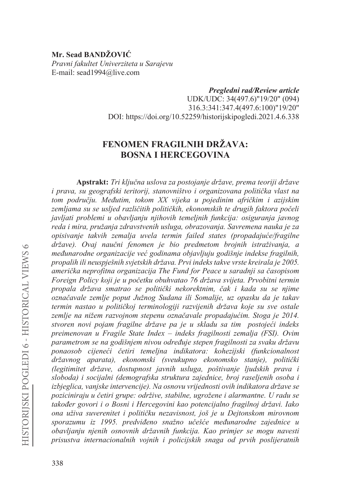## Mr. Sead BANDŽOVIĆ Pravni fakultet Univerziteta u Sarajevu E-mail: sead1994@live.com

Pregledni rad/Review article UDK/UDC: 34(497.6)"19/20" (094) 316.3:341:347.4(497.6:100)"19/20" DOI: https://doi.org/10.52259/historijskipogledi.2021.4.6.338

# FENOMEN FRAGILNIH DRŽAVA: **BOSNA I HERCEGOVINA**

Apstrakt: Tri ključna uslova za postojanje države, prema teoriji države i prava, su geografski teritorij, stanovništvo i organizovana politička vlast na tom području. Međutim, tokom XX vijeka u pojedinim afričkim i azijskim zemljama su se usljed različitih političkih, ekonomskih te drugih faktora počeli javljati problemi u obavljanju njihovih temeljnih funkcija: osiguranja javnog reda i mira, pružanja zdravstvenih usluga, obrazovanja. Savremena nauka je za opisivanje takvih zemalja uvela termin failed states (propadajuće/fragilne države). Ovaj naučni fenomen je bio predmetom brojnih istraživanja, a međunarodne organizacije već godinama objavljuju godišnje indekse fragilnih, propalih ili neuspješnih svjetskih država. Prvi indeks takve vrste kreirala je 2005. američka neprofitna organizacija The Fund for Peace u saradnji sa časopisom Foreign Policy koji je u početku obuhvatao 76 država svijeta. Prvobitni termin propala država smatrao se politički nekorektnim, čak i kada su se niime označavale zemlje poput Južnog Sudana ili Somalije, uz opasku da je takav termin nastao u političkoj terminologiji razvijenih država koje su sve ostale zemlje na nižem razvojnom stepenu označavale propadajućim. Stoga je 2014. stvoren novi pojam fragilne države pa je u skladu sa tim postojeći indeks preimenovan u Fragile State Index - indeks fragilnosti zemalja (FSI). Ovim parametrom se na godišnjem nivou određuje stepen fragilnosti za svaku državu ponaosob cijeneći četiri temeljna indikatora: kohezijski (funkcionalnost državnog aparata), ekonomski (sveukupno ekonomsko stanje), politički (legitimitet države, dostupnost javnih usluga, poštivanje ljudskih prava i sloboda) i socijalni (demografska struktura zajednice, broj raseljenih osoba i izbjeglica, vanjske intervencije). Na osnovu vrijednosti ovih indikatora države se poziciniraju u četiri grupe: održive, stabilne, ugrožene i alarmantne. U radu se također govori i o Bosni i Hercegovini kao potencijalno fragilnoj državi. Iako ona uživa suverenitet i političku nezavisnost, još je u Dejtonskom mirovnom sporazumu iz 1995. predviđeno snažno učešće međunarodne zajednice u obavljanju njenih osnovnih državnih funkcija. Kao primjer se mogu navesti prisustva internacionalnih vojnih i policijskih snaga od prvih poslijeratnih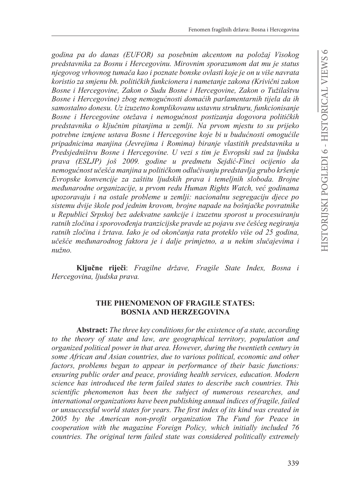godina pa do danas (EUFOR) sa posebnim akcentom na položaj Visokog predstavnika za Bosnu i Hercegovinu. Mirovnim sporazumom dat mu je status njegovog vrhovnog tumača kao i poznate bonske ovlasti koje je on u više navrata koristio za smjenu bh. političkih funkcionera i nametanje zakona (Krivični zakon Bosne i Hercegovine, Zakon o Sudu Bosne i Hercegovine, Zakon o Tužilaštvu Bosne i Hercegovine) zbog nemogućnosti domaćih parlamentarnih tijela da ih samostalno donesu. Uz izuzetno komplikovanu ustavnu strukturu, funkcionisanje Bosne i Hercegovine otežava i nemogućnost postizanja dogovora političkih predstavnika o ključnim pitanjima u zemlji. Na prvom mjestu to su prijeko potrebne izmjene ustava Bosne i Hercegovine koje bi u budućnosti omogućile pripadnicima manjina (Jevrejima i Romima) biranje vlastitih predstavnika u Predsjedništvu Bosne i Hercegovine. U vezi s tim je Evropski sud za ljudska prava (ESLJP) još 2009. godine u predmetu Sejdić-Finci ocijenio da nemogućnost učešća manjina u političkom odlučivanju predstavlja grubo kršenje Evropske konvencije za zaštitu ljudskih prava i temeljnih sloboda. Brojne međunarodne organizacije, u prvom redu Human Rights Watch, već godinama upozoravaju i na ostale probleme u zemlji: nacionalnu segregaciju djece po sistemu dvije škole pod jednim krovom, brojne napade na bošnjačke povratnike u Republici Srpskoj bez adekvatne sankcije i izuzetnu sporost u procesuiranju ratnih zločina i sporovođenja tranzicijske pravde uz pojavu sve češćeg negiranja ratnih zločina i žrtava. Iako je od okončanja rata proteklo više od 25 godina, učešće međunarodnog faktora je i dalje primjetno, a u nekim slučajevima i nužno.

Ključne riječi: Fragilne države, Fragile State Index, Bosna i Hercegovina, ljudska prava.

## THE PHENOMENON OF FRAGILE STATES: **BOSNIA AND HERZEGOVINA**

**Abstract:** The three key conditions for the existence of a state, according to the theory of state and law, are geographical territory, population and organized political power in that area. However, during the twentieth century in some African and Asian countries, due to various political, economic and other factors, problems began to appear in performance of their basic functions: ensuring public order and peace, providing health services, education. Modern science has introduced the term failed states to describe such countries. This scientific phenomenon has been the subject of numerous researches, and international organizations have been publishing annual indices of fragile, failed or unsuccessful world states for years. The first index of its kind was created in 2005 by the American non-profit organization The Fund for Peace in cooperation with the magazine Foreign Policy, which initially included 76 countries. The original term failed state was considered politically extremely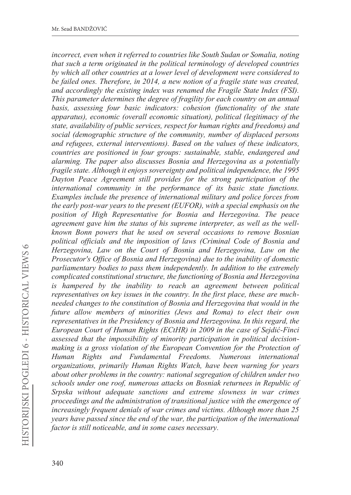*incorrect, even when it referred to countries like South Sudan or Somalia, noting that such a term originated in the political terminology of developed countries by which all other countries at a lower level of development were considered to be failed ones. Therefore, in 2014, a new notion of a fragile state was created, and accordingly the existing index was renamed the Fragile State Index (FSI). This parameter determines the degree of fragility for each country on an annual basis, assessing four basic indicators: cohesion (functionality of the state apparatus), economic (overall economic situation), political (legitimacy of the state, availability of public services, respect for human rights and freedoms) and social (demographic structure of the community, number of displaced persons and refugees, external interventions). Based on the values of these indicators, countries are positioned in four groups: sustainable, stable, endangered and alarming. The paper also discusses Bosnia and Herzegovina as a potentially fragile state. Although it enjoys sovereignty and political independence, the 1995 Dayton Peace Agreement still provides for the strong participation of the international community in the performance of its basic state functions. Examples include the presence of international military and police forces from the early post-war years to the present (EUFOR), with a special emphasis on the position of High Representative for Bosnia and Herzegovina. The peace agreement gave him the status of his supreme interpreter, as well as the wellknown Bonn powers that he used on several occasions to remove Bosnian political officials and the imposition of laws (Criminal Code of Bosnia and Herzegovina, Law on the Court of Bosnia and Herzegovina, Law on the Prosecutor's Office of Bosnia and Herzegovina) due to the inability of domestic parliamentary bodies to pass them independently. In addition to the extremely complicated constitutional structure, the functioning of Bosnia and Herzegovina is hampered by the inability to reach an agreement between political representatives on key issues in the country. In the first place, these are muchneeded changes to the constitution of Bosnia and Herzegovina that would in the future allow members of minorities (Jews and Roma) to elect their own representatives in the Presidency of Bosnia and Herzegovina. In this regard, the European Court of Human Rights (ECtHR) in 2009 in the case of Sejdiü-Finci assessed that the impossibility of minority participation in political decisionmaking is a gross violation of the European Convention for the Protection of Human Rights and Fundamental Freedoms. Numerous international organizations, primarily Human Rights Watch, have been warning for years about other problems in the country: national segregation of children under two schools under one roof, numerous attacks on Bosniak returnees in Republic of Srpska without adequate sanctions and extreme slowness in war crimes proceedings and the administration of transitional justice with the emergence of increasingly frequent denials of war crimes and victims. Although more than 25 years have passed since the end of the war, the participation of the international factor is still noticeable, and in some cases necessary.*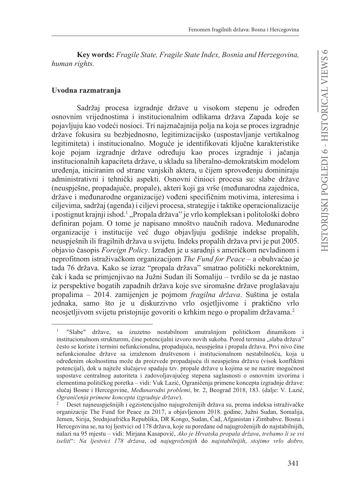**.H\ZRUGV** *Fragile State, Fragile State Index, Bosnia and Herzegovina, human rights.*

### Uvodna razmatranja

Sadržaj procesa izgradnje države u visokom stepenu je određen osnovnim vrijednostima i institucionalnim odlikama država Zapada koje se pojavljuju kao vodeći nosioci. Tri najznačajnija polja na koja se proces izgradnje države fokusira su bezbjednosno, legitimizacijsko (uspostavljanje vertikalnog legitimiteta) i institucionalno. Moguće je identifikovati ključne karakteristike koje pojam izgradnje države određuju kao proces izgradnje i jačanja institucionalnih kapaciteta države, u skladu sa liberalno-demokratskim modelom uređenja, iniciranim od strane vanjskih aktera, u čijem sprovođenju dominiraju administrativni i tehnički aspekti. Osnovni činioci procesa su: slabe države (neuspiešne, propadajuće, propale), akteri koji ga vrše (međunarodna zajednica, države i međunarodne organizacije) vođeni specifičnim motivima, interesima i ciljevima, sadržaj (agenda) i ciljevi procesa, strategije i taktike operacionalizacije i postignut krajnji ishod.<sup>1</sup> "Propala država" je vrlo kompleksan i politološki dobro definiran pojam. O tome je napisano mnoštvo naučnih radova. Međunarodne organizacije i institucije već dugo objavljuju godišnje indekse propalih. neuspješnih ili fragilnih država u svijetu. Indeks propalih država prvi je put 2005. objavio časopis Foreign Policy. Izrađen je u saradnji s američkom nevladinom i neprofitnom istraživačkom organizacijom *The Fund for Peace* – a obuhvaćao je tada 76 država. Kako se izraz "propala država" smatrao politički nekorektnim, čak i kada se primjenjivao na Južni Sudan ili Somaliju – tvrdilo se da je nastao iz perspektive bogatih zapadnih država koje sve siromašne države proglašavaju propalima – 2014. zamijenjen je pojmom *fragilna država*. Suština je ostala jednaka, samo što je u diskurzivno vrlo osjetljivome i praktično vrlo neosjetljivom svijetu pristojnije govoriti o krhkim nego o propalim državama.<sup>2</sup>

 $\mathbf{1}$ "Slabe" države, sa izuzetno nestabilnom unutrašnjom političkom dinamikom i institucionalnom strukturom, čine potencijalni izvoro novih sukoba. Pored termina "slaba država" često se koriste i termini nefunkcionalna, propadajuća, neuspješna i propala država. Prvi nivo čine nefunkcionalne države sa izraženom društvenom i institucionalnom nestabilnošću, koja u određenim okolnostima može da proizvede propadajuću ili neuspješnu državu (visok konfliktni potencijal), dok u najteže slučajeve spadaju tzv. propale države u kojima se ne nazire mogućnost uspostave centralnog autoriteta i zadovoljavajućeg stepena saglasnosti o osnovnim izvorima i elementima političkog poretka – vidi: Vuk Lazić, Ograničenja primene koncepta izgradnje države: slučaj Bosne i Hercegovine, Međunarodni problemi, br. 2, Beograd 2018, 183. (dalje: V. Lazić, *Ograničenja primene koncepta izgradnje države*).

Deset najneuspješnijih i egzistencijalno najugroženijih država su, prema indeksa istraživačke organizacije The Fund for Peace za 2017, a objavljenom 2018. godine, Južni Sudan, Somalija, Jemen, Sirija, Srednjoafrička Republika, DR Kongo, Sudan, Čad, Afganistan i Zimbabve. Bosna i Hercegovina se, na toj ljestvici od 178 država, koje su poredane od najugroženijih do najstabilnijih, nalazi na 95 mjestu – vidi: Mirjana Kasapović, Ako je Hrvatska propala država, trebamo li se svi iseliti": Na ljestvici 178 država, od najugroženijih do najstabilnijih, stojimo vrlo dobro,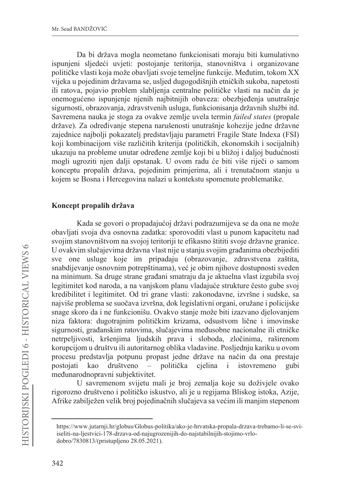Da bi država mogla neometano funkcionisati moraju biti kumulativno ispunjeni sljedeći uvjeti: postojanje teritorija, stanovništva i organizovane političke vlasti koja može obavljati svoje temeljne funkcije. Međutim, tokom XX vijeka u pojedinim državama se, usljed dugogodišnjih etničkih sukoba, napetosti ili ratova, pojavio problem slablienia centralne političke vlasti na način da je onemogućeno ispunjenje njenih najbitnijih obaveza: obezbjeđenja unutrašnje sigurnosti, obrazovanja, zdravstvenih usluga, funkcionisanja državnih službi itd. Savremena nauka je stoga za ovakve zemlje uvela termin *failed states* (propale države). Za određivanje stepena narušenosti unutrašnje kohezije jedne državne zajednice najbolji pokazatelj predstavljaju parametri Fragile State Indexa (FSI) koji kombinacijom više različitih kriterija (političkih, ekonomskih i socijalnih) ukazuju na probleme unutar određene zemlje koji bi u bližoj i daljoj budućnosti mogli ugroziti njen dalji opstanak. U ovom radu će biti više riječi o samom konceptu propalih država, pojedinim primjerima, ali i trenutačnom stanju u kojem se Bosna i Hercegovina nalazi u kontekstu spomenute problematike.

## Koncept propalih država

Kada se govori o propadajućoj državi podrazumijeva se da ona ne može obavljati svoja dva osnovna zadatka: sporovoditi vlast u punom kapacitetu nad svojim stanovništvom na svojoj teritoriji te efikasno štititi svoje državne granice. U ovakvim slučajevima državna vlast nije u stanju svojim građanima obezbijediti sve one usluge koje im pripadaju (obrazovanie, zdravstvena zaštita, snabdijevanje osnovnim potrepštinama), već je obim njihove dostupnosti sveden na minimum. Sa druge strane građani smatraju da je aktuelna vlast izgubila svoj legitimitet kod naroda, a na vanjskom planu vladajuće strukture često gube svoj kredibilitet i legitimitet. Od tri grane vlasti: zakonodavne, izvršne i sudske, sa najviše problema se suočava izvršna, dok legislativni organi, oružane i policijske snage skoro da i ne funkcionišu. Ovakvo stanje može biti izazvano djelovanjem niza faktora: dugotrajnim političkim krizama, odsustvom lične i imovinske sigurnosti, građanskim ratovima, slučajevima međusobne nacionalne ili etničke netrpeljivosti, kršenjima ljudskih prava i sloboda, zločinima, raširenom korupcijom u društvu ili autoritarnog oblika vladavine. Posljednju kariku u ovom procesu predstavlja potpunu propast jedne države na način da ona prestaje postoiati kao društveno – politička cjelina i istovremeno gubi međunarodnopravni subjektivitet.

U savremenom svijetu mali je broj zemalja koje su doživjele ovako rigorozno društveno i političko iskustvo, ali je u regijama Bliskog istoka, Azije, Afrike zabilježen velik broj pojedinačnih slučajeva sa većim ili manjim stepenom

https://www.jutarnji.hr/globus/Globus-politika/ako-je-hrvatska-propala-drzava-trebamo-li-se-sviiseliti-na-ljestvici-178-drzava-od-najugrozenijih-do-najstabilnijih-stojimo-vrlodobro/7830813/(pristupljeno 28.05.2021).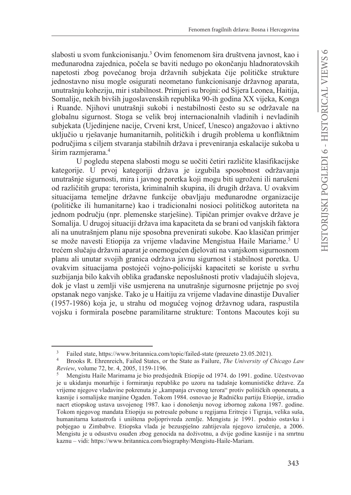slabosti u svom funkcionisaniu.<sup>3</sup> Ovim fenomenom šira društvena javnost, kao i međunarodna zajednica, počela se baviti nedugo po okončanju hladnoratovskih napetosti zbog povećanog broja državnih subjekata čije političke strukture jednostavno nisu mogle osigurati neometano funkcionisanje državnog aparata, unutrašnju koheziju, mir i stabilnost. Primjeri su brojni: od Sijera Leonea, Haitija, Somalije, nekih bivših jugoslavenskih republika 90-ih godina XX vijeka, Konga i Ruande. Njihovi unutrašnji sukobi i nestabilnosti često su se održavale na globalnu sigurnost. Stoga se velik broj internacionalnih vladinih i nevladinih subjekata (Ujedinjene nacije, Crveni krst, Unicef, Unesco) angažovao i aktivno uključio u rješavanje humanitarnih, političkih i drugih problema u konfliktnim područjima s ciljem stvaranja stabilnih država i preveniranja eskalacije sukoba u širim razmierama.<sup>4</sup>

U pogledu stepena slabosti mogu se uočiti četiri različite klasifikacijske kategorije. U prvoj kategoriji država je izgubila sposobnost održavanja unutrašnje sigurnosti, mira i javnog poretka koji mogu biti ugroženi ili narušeni od različitih grupa: terorista, kriminalnih skupina, ili drugih država. U ovakvim situacijama temeljne državne funkcije obavljaju međunarodne organizacije (političke ili humanitarne) kao i tradicionalni nosioci političkog autoriteta na jednom području (npr. plemenske starješine). Tipičan primjer ovakve države je Somalija. U drugoj situaciji država ima kapaciteta da se brani od vanjskih faktora ali na unutrašnjem planu nije sposobna prevenirati sukobe. Kao klasičan primjer se može navesti Etiopija za vrijeme vladavine Mengistua Haile Mariame.<sup>5</sup> U trećem slučaju državni aparat je onemogućen djelovati na vanjskom sigurnosnom planu ali unutar svojih granica održava javnu sigurnost i stabilnost poretka. U ovakvim situacijama postojeći vojno-policijski kapaciteti se koriste u svrhu suzbijanja bilo kakvih oblika građanske neposlušnosti protiv vladajućih slojeva, dok je vlast u zemlji više usmjerena na unutrašnje sigurnosne prijetnje po svoj opstanak nego vanjske. Tako je u Haitiju za vrijeme vladavine dinastije Duvalier (1957-1986) koja je, u strahu od mogućeg vojnog državnog udara, raspustila vojsku i formirala posebne paramilitarne strukture: Tontons Macoutes koji su

Failed state, https://www.britannica.com/topic/failed-state (preuzeto 23.05.2021).

Brooks R. Ehrenreich, Failed States, or the State as Failure, The University of Chicago Law Review, volume 72, br. 4, 2005, 1159-1196.

Mengistu Haile Marimama je bio predsjednik Etiopije od 1974. do 1991. godine. Učestvovao je u ukidanju monarhije i formiranju republike po uzoru na tadašnje komunističke države. Za vrijeme njegove vladavine pokrenuta je "kampanja crvenog terora" protiv političkih oponenata, a kasnije i somalijske manjine Ogaden. Tokom 1984. osnovao je Radničku partiju Etiopije, izradio nacrt etiopskog ustava usvojenog 1987. kao i donošenju novog izbornog zakona 1987. godine. Tokom njegovog mandata Etiopiju su potresale pobune u regijama Eritreje i Tigraja, velika suša, humanitarna katastrofa i uništena poljoprivreda zemlje. Mengistu je 1991. podnio ostavku i pobjegao u Zimbabve. Etiopska vlada je bezuspješno zahtijevala njegovo izručenje, a 2006. Mengistu je u odsustvu osuđen zbog genocida na doživotnu, a dvije godine kasnije i na smrtnu kaznu - vidi: https://www.britannica.com/biography/Mengistu-Haile-Mariam.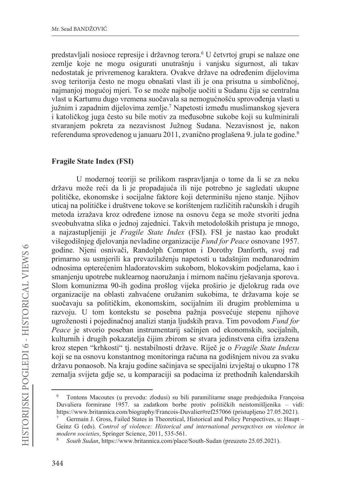predstavljali nosioce represije i državnog terora.<sup>6</sup> U četvrtoj grupi se nalaze one zemlje koje ne mogu osigurati unutrašnju i vanjsku sigurnost, ali takav nedostatak je privremenog karaktera. Ovakve države na određenim dijelovima svog teritorija često ne mogu obnašati vlast ili je ona prisutna u simboličnoj, najmanjoj mogućoj mjeri. To se može najbolje uočiti u Sudanu čija se centralna vlast u Kartumu dugo vremena suočavala sa nemogućnošću sprovođenja vlasti u južnim i zapadnim dijelovima zemlje.<sup>7</sup> Napetosti između muslimanskog sjevera i katoličkog juga često su bile motiv za međusobne sukobe koji su kulminirali stvaranjem pokreta za nezavisnost Južnog Sudana. Nezavisnost je, nakon referenduma sprovedenog u januaru 2011, zvanično proglašena 9. jula te godine.<sup>8</sup>

### **Fragile State Index (FSI)**

U modernoj teoriji se prilikom raspravljanja o tome da li se za neku državu može reći da li je propadajuća ili nije potrebno je sagledati ukupne političke, ekonomske i socijalne faktore koji determinišu njeno stanje. Njihov uticaj na političke i društvene tokove se korištenjem različitih računskih i drugih metoda izražava kroz određene iznose na osnovu čega se može stvoriti jedna sveobuhvatna slika o jednoj zajednici. Takvih metodoloških pristupa je mnogo, a najzastupljeniji je Fragile State Index (FSI). FSI je nastao kao produkt višegodišnjeg djelovanja nevladine organizacije Fund for Peace osnovane 1957. godine. Njeni osnivači, Randolph Compton i Dorothy Danforth, svoj rad primarno su usmierili ka prevazilaženiu napetosti u tadašniim međunarodnim odnosima opterećenim hladoratovskim sukobom, blokovskim podjelama, kao i smanjenju upotrebe nuklearnog naoružanja i mirnom načinu rješavanja sporova. Slom komunizma 90-ih godina prošlog vijeka proširio je djelokrug rada ove organizacije na oblasti zahvaćene oružanim sukobima, te državama koje se suočavaju sa političkim, ekonomskim, socijalnim ili drugim problemima u razvoju. U tom kontekstu se posebna pažnja posvećuje stepenu njihove ugroženosti i pojedinačnoj analizi stanja ljudskih prava. Tim povodom Fund for Peace je stvorio poseban instrumentarij sačinjen od ekonomskih, socijalnih, kulturnih i drugih pokazatelja čijim zbirom se stvara jedinstvena cifra izražena kroz stepen "krhkosti" tj. nestabilnosti države. Riječ je o Fragile State Indexu koji se na osnovu konstantnog monitoringa računa na godišnjem nivou za svaku državu ponaosob. Na kraju godine sačinjava se specijalni izvještaj o ukupno 178 zemalja svijeta gdje se, u komparaciji sa podacima iz prethodnih kalendarskih

Tontons Macoutes (u prevodu: zlodusi) su bili paramilitarne snage predsjednika Françoisa Duvaliera formirane 1957. sa zadatkom borbe protiv političkih neistomišljenika – vidi: https://www.britannica.com/biography/Francois-Duvalier#ref257066 (pristuplieno 27.05.2021).

Germain J. Gross, Failed States in Theoretical, Historical and Policy Perspectives, u: Haupt -Geinz G (eds). Control of violence: Historical and international persepctives on violence in modern societies, Springer Science, 2011, 535-561.

South Sudan, https://www.britannica.com/place/South-Sudan (preuzeto 25.05.2021).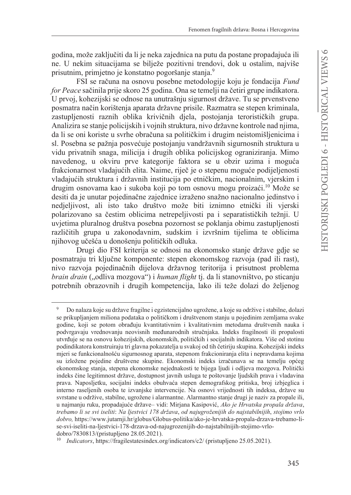godina, može zaključiti da li je neka zajednica na putu da postane propadajuća ili ne. U nekim situacijama se bilježe pozitivni trendovi, dok u ostalim, najviše prisutnim, primjetno je konstatno pogoršanje stanja.<sup>9</sup>

FSI se računa na osnovu posebne metodologije koju je fondacija Fund for Peace sačinila prije skoro 25 godina. Ona se temelji na četiri grupe indikatora. U prvoj, kohezijski se odnose na unutrašnju sigurnost države. Tu se prvenstveno posmatra način korištenja aparata državne prisile. Razmatra se stepen kriminala, zastupljenosti raznih oblika krivičnih djela, postojanja terorističkih grupa. Analizira se stanje policijskih i vojnih struktura, nivo državne kontrole nad njima, da li se oni koriste u svrhe obračuna sa političkim i drugim neistomišljenicima i sl. Posebna se pažnja posvećuje postojanju vandržavnih sigurnosnih struktura u vidu privatnih snaga, milicija i drugih oblika policijskog ograniziranja. Mimo navedenog, u okviru prve kategorije faktora se u obzir uzima i moguća frakcionarnost vladajućih elita. Naime, riječ je o stepenu moguće podijeljenosti vladajućih struktura i državnih institucija po etničkim, nacionalnim, vjerskim i drugim osnovama kao i sukoba koji po tom osnovu mogu proizaći.<sup>10</sup> Može se desiti da je unutar pojedinačne zajednice izraženo snažno nacionalno jedinstvo i nedjeljivost, ali isto tako društvo može biti iznimno etnički ili vjerski polarizovano sa čestim oblicima netrepeljivosti pa i separatističkih težnji. U uvjetima pluralnog društva posebna pozornost se poklanja obimu zastupljenosti različitih grupa u zakonodavnim, sudskim i izvršnim tijelima te oblicima njihovog učešća u donošenju političkih odluka.

Drugi dio FSI kriterija se odnosi na ekonomsko stanje države gdje se posmatraju tri ključne komponente: stepen ekonomskog razvoja (pad ili rast), nivo razvoja pojedinačnih dijelova državnog teritorija i prisutnost problema brain drain ("odliva mozgova") i human flight tj. da li stanovništvo, po sticanju potrebnih obrazovnih i drugih kompetencija, lako ili teže dolazi do željenog

 $\boldsymbol{9}$ Do nalaza koje su države fragilne i egzistencijalno ugrožene, a koje su održive i stabilne, dolazi se prikupljanjem miliona podataka o političkom i društvenom stanju u pojedinim zemljama svake godine, koji se potom obrađuju kvantitativnim i kvalitativnim metodama društvenih nauka i podvrgavaju vrednovanju neovisnih međunarodnih stručnjaka. Indeks fragilnosti ili propalosti utvrđuje se na osnovu kohezijskih, ekonomskih, političkih i socijalnih indikatora. Više od stotinu podindikatora konstruiraju tri glavna pokazatelja u svakoj od tih četiriju skupina. Kohezijski indeks mjeri se funkcionalnošću sigurnosnog aparata, stepenom frakcioniranja elita i nepravdama kojima su izložene pojedine društvene skupine. Ekonomski indeks izračunava se na temelju općeg ekonomskog stanja, stepena ekonomske nejednakosti te bijega ljudi i odljeva mozgova. Politički indeks čine legitimnost države, dostupnost javnih usluga te poštovanje ljudskih prava i vladavina prava. Naposljetku, socijalni indeks obuhvaća stepen demografskog pritiska, broj izbjeglica i interno raseljenih osoba te izvanjske intervencije. Na osnovi vrijednosti tih indeksa, države su svrstane u održive, stabilne, ugrožene i alarmantne. Alarmantno stanje drugi je naziv za propale ili, u najmanju ruku, propadajuće države-vidi: Mirjana Kasipović, Ako je Hrvatska propala država, trebamo li se svi iseliti: Na ljestvici 178 država, od najugroženijih do najstabilnijih, stojimo vrlo dobro, https://www.jutarnji.hr/globus/Globus-politika/ako-je-hrvatska-propala-drzava-trebamo-lise-svi-iseliti-na-ljestvici-178-drzava-od-najugrozenijih-do-najstabilnijih-stojimo-vrlodobro/7830813/(pristupljeno 28.05.2021).

Indicators, https://fragilestatesindex.org/indicators/c2/ (pristupljeno 25.05.2021).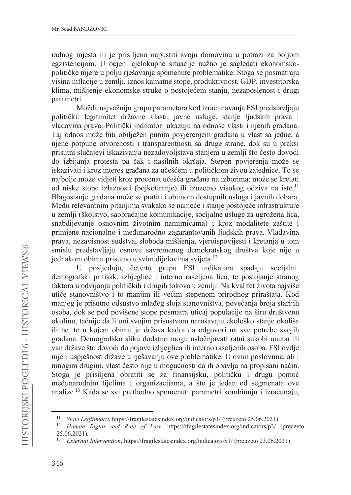radnog miesta ili je prisiljeno napustiti svoju domovinu u potrazi za boljom egzistencijom. U ocjeni cjelokupne situacije nužno je sagledati ekonomskopolitičke mjere u polju rješavanja spomenute problematike. Stoga se posmatraju visina inflacije u zemlji, iznos kamatne stope, produktivnost, GDP, investitorska klima, mišljenje ekonomske struke o postojećem stanju, nezaposlenost i drugi parametri.

Možda najvažniju grupu parametara kod izračunavanja FSI predstavljaju politički: legitimitet državne vlasti, javne usluge, stanje ljudskih prava i vladavina prava. Politički indikatori ukazuju na odnose vlasti i njenih građana. Taj odnos može biti obilježen punim povjerenjem građana u vlast sa jedne, a njene potpune otvorenosti i transparentnosti sa druge strane, dok su u praksi prisutni slučajevi iskazivanja nezadovoljstava stanjem u zemlji što često dovodi do izbijanja protesta pa čak i nasilnih okršaja. Stepen povjerenja može se iskazivati i kroz interes građana za učešćem u političkom živou zajednice. To se najbolje može vidjeti kroz procenat učešća građana na izborima: može se kretati od niske stope izlaznosti (bojkotiranje) ili izuzetno visokog odziva na iste.<sup>11</sup> Blagostanje građana može se pratiti i obimom dostupnih usluga i javnih dobara. Među relevantnim pitanjima svakako se nameće i stanje postojeće infrastrukture u zemlji (školstvo, saobraćajne komunikacije, socijalne usluge za ugrožena lica, snabdijevanje osnovnim životnim namirnicama) i kroz modalitete zaštite i primiene nacionalno i međunarodno zagarantovanih ljudskih prava. Vladavina prava, nezavisnost sudstva, sloboda mišljenja, vjeroispovijesti i kretanja u tom smislu predstavljaju osnove savremenog demokratskog društva koje nije u iednakom obimu prisutno u svim dijelovima svijeta.<sup>12</sup>

posljednju, četvrtu grupu FSI indikatora spadaju socijalni: U demografski pritisak, izbjeglice i interno raseljena lica, te postojanje stranog faktora u odvijanju političkih i drugih tokova u zemlji. Na kvalitet života najviše utiče stanovništvo i to manjim ili većim stepenom prirodnog priraštaja. Kod manjeg je prisutno odsustvo mlađeg sloja stanovništva, povećanja broja starijih osoba, dok se pod povišene stope posmatra uticaj populacije na širu društvenu okolinu, tačnije da li oni svojim prisustvom narušavaju ekološko stanje okoliša ili ne, te u kojem obimu je država kadra da odgovori na sve potrebe svojih građana. Demografsku sliku dodatno mogu usložnjavati ratni sukobi unutar ili van države što dovodi do pojave izbjeglica ili interno raseljenih osoba. FSI ovdje mjeri uspješnost države u rješavanju ove problematike. U ovim poslovima, ali i mnogim drugim, vlast često nije u mogućnosti da ih obavlja na propisani način. Stoga je prisiljena obratiti se za finansijsku, političku i drugu pomoć međunarodnim tijelima i organizacijama, a što je jedan od segmenata ove analize.<sup>13</sup> Kada se svi prethodno spomenuti parametri kombinuju i izračunaju,

<sup>&</sup>lt;sup>11</sup> State Legitimacy, https://fragilestatesindex.org/indicators/p1/ (preuzeto 25.06.2021).

<sup>12</sup> Human Rights and Rule of Law, https://fragilestatesindex.org/indicators/p3/ (preuzeto 25.06.2021).

External Intervention, https://fragilestatesindex.org/indicators/x1/ (preuzeto 23.06.2021).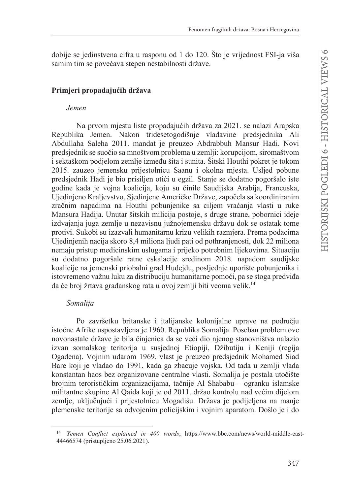dobije se jedinstvena cifra u rasponu od 1 do 120. Što je vrijednost FSI-ja viša samim tim se povećava stepen nestabilnosti države.

## Primjeri propadajućih država

### **Jemen**

Na prvom mjestu liste propadajućih država za 2021. se nalazi Arapska Republika Jemen. Nakon tridesetogodišnje vladavine predsjednika Ali Abdullaha Saleha 2011. mandat je preuzeo Abdrabbuh Mansur Hadi. Novi predsjednik se suočio sa mnoštvom problema u zemlji: korupcijom, siromaštvom i sektaškom podjelom zemlje između šita i sunita. Šitski Houthi pokret je tokom 2015. zauzeo jemensku prijestolnicu Saanu i okolna mjesta. Usljed pobune predsjednik Hadi je bio prisiljen otići u egzil. Stanje se dodatno pogoršalo iste godine kada je vojna koalicija, koju su činile Saudijska Arabija, Francuska, Ujedinjeno Kraljevstvo, Sjedinjene Američke Države, započela sa koordiniranim zračnim napadima na Houthi pobunjenike sa ciljem vraćanja vlasti u ruke Mansura Hadija. Unutar šitskih milicija postoje, s druge strane, pobornici ideje izdvajanja juga zemlje u nezavisnu južnojemensku državu dok se ostatak tome protivi. Sukobi su izazvali humanitarnu krizu velikih razmjera. Prema podacima Ujedinjenih nacija skoro 8,4 miliona ljudi pati od pothranjenosti, dok 22 miliona nemaju pristup medicinskim uslugama i prijeko potrebnim lijekovima. Situaciju su dodatno pogoršale ratne eskalacije sredinom 2018. napadom saudijske koalicije na jemenski priobalni grad Hudejdu, posljednje uporište pobunjenika i istovremeno važnu luku za distribuciju humanitarne pomoći, pa se stoga predviđa da će broj žrtava građanskog rata u ovoj zemlji biti veoma velik.<sup>14</sup>

## Somalija

Po završetku britanske i italijanske kolonijalne uprave na području istočne Afrike uspostavljena je 1960. Republika Somalija. Poseban problem ove novonastale države je bila činjenica da se veći dio njenog stanovništva nalazio izvan somalskog teritorija u susjednoj Etiopiji, Džibutiju i Keniji (regija Ogadena). Vojnim udarom 1969. vlast je preuzeo predsjednik Mohamed Siad Bare koji je vladao do 1991, kada ga zbacuje vojska. Od tada u zemlji vlada konstantan haos bez organizovane centralne vlasti. Somalija je postala utočište brojnim terorističkim organizacijama, tačnije Al Shababu – ogranku islamske militantne skupine Al Qaida koji je od 2011. držao kontrolu nad većim dijelom zemlje, uključujući i prijestolnicu Mogadišu. Država je podijeljena na manje plemenske teritorije sa odvojenim policijskim i vojnim aparatom. Došlo je i do

<sup>&</sup>lt;sup>14</sup> Yemen Conflict explained in 400 words, https://www.bbc.com/news/world-middle-east-44466574 (pristupljeno 25.06.2021).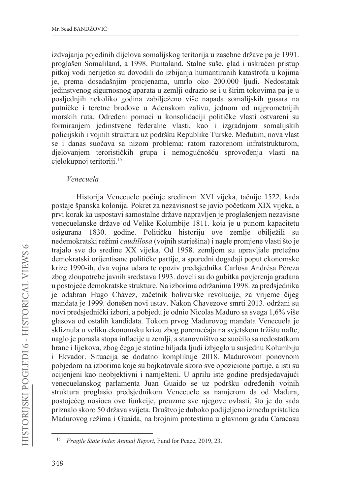izdvajanja pojedinih dijelova somalijskog teritorija u zasebne države pa je 1991. proglašen Somaliland, a 1998. Puntaland. Stalne suše, glad i uskraćen pristup pitkoj vodi nerijetko su dovodili do izbijanja humantiranih katastrofa u kojima je, prema dosadašnjim procjenama, umrlo oko 200.000 ljudi. Nedostatak jedinstvenog sigurnosnog aparata u zemlji odrazio se i u širim tokovima pa je u posljednjih nekoliko godina zabilježeno više napada somalijskih gusara na putničke i teretne brodove u Adenskom zalivu, jednom od najprometnijih morskih ruta. Određeni pomaci u konsolidaciji političke vlasti ostvareni su formiranjem jedinstvene federalne vlasti, kao i izgradnjom somalijskih policijskih i vojnih struktura uz podršku Republike Turske. Međutim, nova vlast se i danas suočava sa nizom problema: ratom razorenom infratstrukturom, djelovanjem terorističkih grupa i nemogućnošću sprovođenja vlasti na cjelokupnoj teritoriji.<sup>15</sup>

#### Venecuela

Historija Venecuele počinje sredinom XVI vijeka, tačnije 1522. kada postaje španska kolonija. Pokret za nezavisnost se javio početkom XIX vijeka, a prvi korak ka uspostavi samostalne države napravljen je proglašenjem nezavisne venecuelanske države od Velike Kolumbije 1811. koja je u punom kapacitetu osigurana 1830. godine. Političku historiju ove zemlje obilježili su nedemokratski režimi *caudillosa* (vojnih starješina) i nagle promjene vlasti što je trajalo sve do sredine XX vijeka. Od 1958. zemljom su upravljale pretežno demokratski orijentisane političke partije, a sporedni događaji poput ekonomske krize 1990-ih, dva vojna udara te opoziv predsjednika Carlosa Andrésa Péreza zbog zloupotrebe javnih sredstava 1993. doveli su do gubitka povjerenja građana u postojeće demokratske strukture. Na izborima održanima 1998. za predsjednika je odabran Hugo Chávez, začetnik bolivarske revolucije, za vrijeme čijeg mandata je 1999. donešen novi ustav. Nakon Chavezove smrti 2013. održani su novi predsjednički izbori, a pobjedu je odnio Nicolas Maduro sa svega 1,6% više glasova od ostalih kandidata. Tokom prvog Madurovog mandata Venecuela je skliznula u veliku ekonomsku krizu zbog poremećaja na svjetskom tržištu nafte, naglo je porasla stopa inflacije u zemlji, a stanovništvo se suočilo sa nedostatkom hrane i lijekova, zbog čega je stotine hiljada ljudi izbjeglo u susjednu Kolumbiju i Ekvador. Situacija se dodatno komplikuje 2018. Mađurovom ponovnom pobjedom na izborima koje su bojkotovale skoro sve opozicione partije, a isti su ocijenjeni kao neobjektivni i namješteni. U aprilu iste godine predsjedavajući venecuelanskog parlamenta Juan Guaido se uz podršku određenih vojnih struktura proglasio predsjednikom Venecuele sa namjerom da od Madura, postojećeg nosioca ove funkcije, preuzme sve njegove ovlasti, što je do sada priznalo skoro 50 država svijeta. Društvo je duboko podijeljeno između pristalica Madurovog režima i Guaida, na brojnim protestima u glavnom gradu Caracasu

 $15\,$ Fragile State Index Annual Report, Fund for Peace, 2019, 23.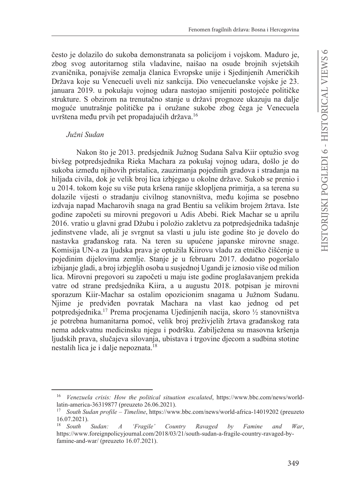često je dolazilo do sukoba demonstranata sa policijom i vojskom. Maduro je, zbog svog autoritarnog stila vladavine, naišao na osude brojnih svjetskih zvaničnika, ponajviše zemalja članica Evropske unije i Sjedinjenih Američkih Država koje su Venecueli uveli niz sankcija. Dio venecuelanske vojske je 23. januara 2019. u pokušaju vojnog udara nastojao smijeniti postojeće političke strukture. S obzirom na trenutačno stanje u državi prognoze ukazuju na dalje moguće unutrašnje političke pa i oružane sukobe zbog čega je Venecuela uvrštena među prvih pet propadajućih država.<sup>16</sup>

#### Južni Sudan

Nakon što je 2013. predsjednik Južnog Sudana Salva Kijr optužio svog bivšeg potpredsjednika Rieka Machara za pokušaj vojnog udara, došlo je do sukoba između njihovih pristalica, zauzimanja pojedinih gradova i stradanja na hiljada civila, dok je velik broj lica izbjegao u okolne države. Sukob se prenio i u 2014. tokom koje su više puta kršena ranije sklopljena primirja, a sa terena su dolazile vijesti o stradanju civilnog stanovništva, među kojima se posebno izdvaja napad Macharovih snaga na grad Bentiu sa velikim brojem žrtava. Iste godine započeti su mirovni pregovori u Adis Abebi. Riek Machar se u aprilu 2016. vratio u glavni grad Džubu i položio zakletvu za potpredsjednika tadašnje jedinstvene vlade, ali je svrgnut sa vlasti u julu iste godine što je dovelo do nastavka građanskog rata. Na teren su upućene japanske mirovne snage. Komisija UN-a za ljudska prava je optužila Kiirovu vladu za etničko čišćenje u pojedinim dijelovima zemlje. Stanje je u februaru 2017. dodatno pogoršalo izbijanje gladi, a broj izbjeglih osoba u susjednoj Ugandi je iznosio više od milion lica. Mirovni pregovori su započeti u maju iste godine proglašavanjem prekida vatre od strane predsjednika Kiira, a u augustu 2018. potpisan je mirovni sporazum Kiir-Machar sa ostalim opozicionim snagama u Južnom Sudanu. Njime je predviđen povratak Machara na vlast kao jednog od pet potpredsjednika.<sup>17</sup> Prema procjenama Ujedinjenih nacija, skoro ½ stanovništva je potrebna humanitarna pomoć, velik broj preživjelih žrtava građanskog rata nema adekvatnu medicinsku njegu i podršku. Zabilježena su masovna kršenja ljudskih prava, slučajeva silovanja, ubistava i trgovine djecom a sudbina stotine nestalih lica je i dalje nepoznata.<sup>18</sup>

Venezuela crisis: How the political situation escalated, https://www.bbc.com/news/worldlatin-america-36319877 (preuzeto 26.06.2021).

<sup>&</sup>lt;sup>17</sup> South Sudan profile – Timeline, https://www.bbc.com/news/world-africa-14019202 (preuzeto  $16.07.2021$ ).

South Sudan:  $\boldsymbol{A}$ 'Fragile' Country Ravaged  $by$ Famine and War. https://www.foreignpolicyjournal.com/2018/03/21/south-sudan-a-fragile-country-ravaged-byfamine-and-war/ (preuzeto 16.07.2021).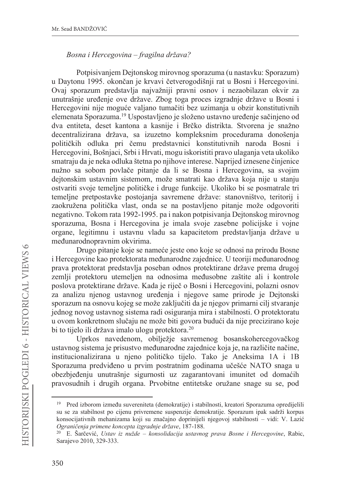### Bosna i Hercegovina – fragilna država?

Potpisivanjem Dejtonskog mirovnog sporazuma (u nastavku: Sporazum) u Daytonu 1995. okončan je krvavi četverogodišnji rat u Bosni i Hercegovini. Ovaj sporazum predstavlja najvažniji pravni osnov i nezaobilazan okvir za unutrašnje uređenje ove države. Zbog toga proces izgradnje države u Bosni i Hercegovini nije moguće valjano tumačiti bez uzimanja u obzir konstitutivnih elemenata Sporazuma.<sup>19</sup> Uspostavljeno je složeno ustavno uređenje sačinjeno od dva entiteta, deset kantona a kasnije i Brčko distrikta. Stvorena je snažno decentralizirana država, sa izuzetno kompleksnim procedurama donošenja političkih odluka pri čemu predstavnici konstitutivnih naroda Bosni i Hercegovini, Bošnjaci, Srbi i Hrvati, mogu iskoristiti pravo ulaganja veta ukoliko smatraju da je neka odluka štetna po njihove interese. Naprijed iznesene činjenice nužno sa sobom povlače pitanje da li se Bosna i Hercegovina, sa svojim dejtonskim ustavnim sistemom, može smatrati kao država koja nije u stanju ostvariti svoje temeline političke i druge funkcije. Ukoliko bi se posmatrale tri temeljne pretpostavke postojanja savremene države: stanovništvo, teritorij i zaokružena politička vlast, onda se na postavljeno pitanje može odgovoriti negativno. Tokom rata 1992-1995. pa i nakon potpisivanja Dejtonskog mirovnog sporazuma, Bosna i Hercegovina je imala svoje zasebne policijske i vojne organe. legitimnu i ustavnu vladu sa kapacitetom predstavljanja države u međunarodnopravnim okvirima.

Drugo pitanje koje se nameće jeste ono koje se odnosi na prirodu Bosne i Hercegovine kao protektorata međunarodne zajednice. U teoriji međunarodnog prava protektorat predstavlja poseban odnos protektirane države prema drugoj zemlji protektoru utemeljen na odnosima međusobne zaštite ali i kontrole poslova protektirane države. Kada je riječ o Bosni i Hercegovini, polazni osnov za analizu njenog ustavnog uređenja i njegove same prirode je Dejtonski sporazum na osnovu kojeg se može zaključiti da je njegov primarni cilj stvaranje jednog novog ustavnog sistema radi osiguranja mira i stabilnosti. O protektoratu u ovom konkretnom slučaju ne može biti govora budući da nije precizirano koje bi to tijelo ili država imalo ulogu protektora.<sup>20</sup>

Uprkos navedenom, obilježje savremenog bosanskohercegovačkog ustavnog sistema je prisustvo međunarodne zajednice koja je, na različite načine, institucionalizirana u njeno političko tijelo. Tako je Aneksima 1A i 1B Sporazuma predviđeno u prvim postratnim godinama učešće NATO snaga u obezbjeđenju unutrašnje sigurnosti uz zagarantovani imunitet od domaćih pravosudnih i drugih organa. Prvobitne entitetske oružane snage su se, pod

<sup>&</sup>lt;sup>19</sup> Pred izborom između suvereniteta (demokratije) i stabilnosti, kreatori Sporazuma opredijelili su se za stabilnost po cijenu privremene suspenzije demokratije. Sporazum ipak sadrži korpus konsocijativnih mehanizama koji su značajno doprinijeli njegovoj stabilnosti – vidi: V. Lazić Ograničenja primene koncepta izgradnje države, 187-188.

<sup>20</sup> E. Šarčević, Ustav iz nužde – konsolidacija ustavnog prava Bosne i Hercegovine, Rabic, Sarajevo 2010, 329-333.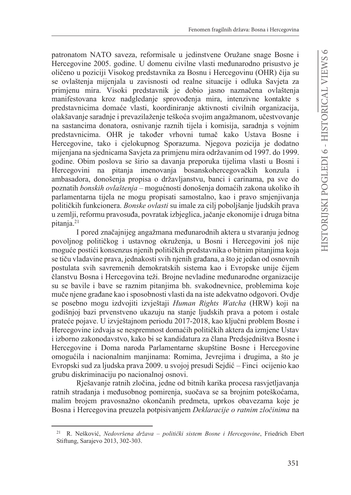patronatom NATO saveza, reformisale u jedinstvene Oružane snage Bosne i Hercegovine 2005. godine. U domenu civilne vlasti međunarodno prisustvo je oličeno u poziciji Visokog predstavnika za Bosnu i Hercegovinu (OHR) čija su se ovlaštenja mijenjala u zavisnosti od realne situacije i odluka Savjeta za primienu mira. Visoki predstavnik je dobio jasno naznačena ovlaštenja manifestovana kroz nadgledanje sprovođenja mira, intenzivne kontakte s predstavnicima domaće vlasti, koordiniranje aktivnosti civilnih organizacija, olakšavanie saradnie i prevazilaženie teškoća svojim angažmanom, učestvovanie na sastancima donatora, osnivanje raznih tijela i komisija, saradnja s vojnim predstavnicima. OHR je također vrhovni tumač kako Ustava Bosne i Hercegovine, tako i cjelokupnog Sporazuma. Njegova pozicija je dodatno mijenjana na sjednicama Savjeta za primjenu mira održavanim od 1997. do 1999. godine. Obim poslova se širio sa davanja preporuka tijelima vlasti u Bosni i Hercegovini na pitanja imenovanja bosanskohercegovačkih konzula i ambasadora, donošenja propisa o državljanstvu, banci i carinama, pa sve do poznatih *bonskih ovlaštenia* – mogućnosti donošenia domaćih zakona ukoliko ih parlamentarna tijela ne mogu propisati samostalno, kao i pravo smjenjivanja političkih funkcionera. Bonske ovlasti su imale za cili poboljšanje ljudskih prava u zemlji, reformu pravosuđa, povratak izbjeglica, jačanje ekonomije i druga bitna pitania.<sup>21</sup>

I pored značajnijeg angažmana međunarodnih aktera u stvaranju jednog povoljnog političkog i ustavnog okruženja, u Bosni i Hercegovini još nije moguće postići konsenzus njenih političkih predstavnika o bitnim pitanjima koja se tiču vladavine prava, jednakosti svih njenih građana, a što je jedan od osnovnih postulata svih savremenih demokratskih sistema kao i Evropske unije čijem članstvu Bosna i Hercegovina teži. Brojne nevladine međunarodne organizacije su se bavile i bave se raznim pitanjima bh. svakodnevnice, problemima koje muče njene građane kao i sposobnosti vlasti da na iste adekvatno odgovori. Ovdje se posebno mogu izdvojiti izvještaji Human Rights Watcha (HRW) koji na godišnjoj bazi prvenstveno ukazuju na stanje ljudskih prava a potom i ostale prateće pojave. U izvještajnom periodu 2017-2018, kao ključni problem Bosne i Hercegovine izdvaja se nespremnost domaćih političkih aktera da izmjene Ustav i izborno zakonodavstvo, kako bi se kandidatura za člana Predsjedništva Bosne i Hercegovine i Doma naroda Parlamentarne skupštine Bosne i Hercegovine omogućila i nacionalnim manjinama: Romima, Jevrejima i drugima, a što je Evropski sud za ljudska prava 2009. u svojoj presudi Sejdić – Finci ocijenio kao grubu diskriminaciju po nacionalnoj osnovi.

Rješavanje ratnih zločina, jedne od bitnih karika procesa rasvjetljavanja ratnih stradanja i međusobnog pomirenja, suočava se sa brojnim poteškoćama, malim brojem pravosnažno okončanih predmeta, uprkos obavezama koje je Bosna i Hercegovina preuzela potpisivanjem Deklaracije o ratnim zločinima na

<sup>&</sup>lt;sup>21</sup> R. Nešković, Nedovršena država – politički sistem Bosne i Hercegovine, Friedrich Ebert Stiftung, Sarajevo 2013, 302-303.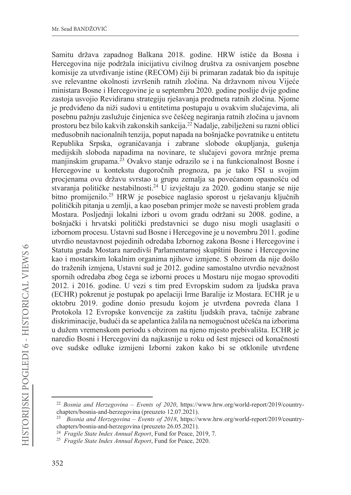Samitu država zapadnog Balkana 2018. godine. HRW ističe da Bosna i Hercegovina nije podržala inicijativu civilnog društva za osnivanjem posebne komisije za utvrđivanje istine (RECOM) čiji bi primaran zadatak bio da ispituie sve relevantne okolnosti izvršenih ratnih zločina. Na državnom nivou Vijeće ministara Bosne i Hercegovine je u septembru 2020. godine poslije dvije godine zastoja usvojio Revidiranu strategiju rješavanja predmeta ratnih zločina. Njome je predviđeno da niži sudovi u entitetima postupaju u ovakvim slučajevima, ali posebnu pažnju zaslužuje činjenica sve češćeg negiranja ratnih zločina u javnom prostoru bez bilo kakvih zakonskih sankcija.<sup>22</sup> Nadalje, zabilježeni su razni oblici međusobnih nacionalnih tenzija, poput napada na bošnjačke povratnike u entitetu Republika Srpska, ograničavanja i zabrane slobode okupljanja, gušenja medijskih sloboda napadima na novinare, te slučajevi govora mržnje prema manjinskim grupama.<sup>23</sup> Ovakvo stanje odrazilo se i na funkcionalnost Bosne i Hercegovine u kontekstu dugoročnih prognoza, pa je tako FSI u svojim procjenama ovu državu svrstao u grupu zemalja sa povećanom opasnošću od stvaranja političke nestabilnosti.<sup>24</sup> U izvještaju za 2020. godinu stanje se nije bitno promijenilo.<sup>25</sup> HRW je posebice naglasio sporost u rješavanju ključnih političkih pitanja u zemlji, a kao poseban primjer može se navesti problem grada Mostara. Posljednji lokalni izbori u ovom gradu održani su 2008. godine, a bošnjački i hrvatski politički predstavnici se dugo nisu mogli usaglasiti o izbornom procesu. Ustavni sud Bosne i Hercegovine je u novembru 2011. godine utvrdio neustavnost pojedinih odredaba Izbornog zakona Bosne i Hercegovine i Statuta grada Mostara naredivši Parlamentarnoj skupštini Bosne i Hercegovine kao i mostarskim lokalnim organima njihove izmjene. S obzirom da nije došlo do traženih izmjena, Ustavni sud je 2012. godine samostalno utvrdio nevažnost spornih odredaba zbog čega se izborni proces u Mostaru nije mogao sprovoditi 2012. i 2016. godine. U vezi s tim pred Evropskim sudom za ljudska prava (ECHR) pokrenut je postupak po apelaciji Irme Baralije iz Mostara. ECHR je u oktobru 2019. godine donio presudu kojom je utvrđena povreda člana 1 Protokola 12 Evropske konvencije za zaštitu ljudskih prava, tačnije zabrane diskriminacije, budući da se apelantica žalila na nemogućnost učešća na izborima u dužem vremenskom periodu s obzirom na njeno mjesto prebivališta. ECHR je naredio Bosni i Hercegovini da najkasnije u roku od šest mjeseci od konačnosti ove sudske odluke izmijeni Izborni zakon kako bi se otklonile utvrđene

<sup>&</sup>lt;sup>22</sup> Bosnia and Herzegovina – Events of 2020, https://www.hrw.org/world-report/2019/countrychapters/bosnia-and-herzegovina (preuzeto 12.07.2021).

<sup>&</sup>lt;sup>23</sup> Bosnia and Herzegovina – Events of 2018, https://www.hrw.org/world-report/2019/countrychapters/bosnia-and-herzegovina (preuzeto 26.05.2021).

<sup>&</sup>lt;sup>24</sup> Fragile State Index Annual Report, Fund for Peace, 2019, 7.

<sup>&</sup>lt;sup>25</sup> Fragile State Index Annual Report, Fund for Peace, 2020.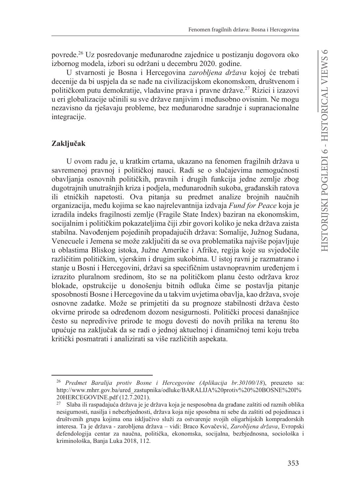povrede.<sup>26</sup> Uz posredovanje međunarodne zajednice u postizanju dogovora oko izbornog modela, izbori su održani u decembru 2020. godine.

U stvarnosti je Bosna i Hercegovina zarobljena država kojoj će trebati decenije da bi uspjela da se nađe na civilizacijskom ekonomskom, društvenom i političkom putu demokratije, vladavine prava i pravne države.<sup>27</sup> Rizici i izazovi u eri globalizacije učinili su sve države ranjivim i međusobno ovisnim. Ne mogu nezavisno da rješavaju probleme, bez međunarodne saradnje i supranacionalne integracije.

### Zaključak

U ovom radu je, u kratkim crtama, ukazano na fenomen fragilnih država u savremenoj pravnoj i političkoj nauci. Radi se o slučajevima nemogućnosti obavljanja osnovnih političkih, pravnih i drugih funkcija jedne zemlje zbog dugotrajnih unutrašnijih kriza i podjela, međunarodnih sukoba, građanskih ratova ili etničkih napetosti. Ova pitanja su predmet analize brojnih naučnih organizacija, među kojima se kao najrelevantnija izdvaja Fund for Peace koja je izradila indeks fragilnosti zemlje (Fragile State Index) baziran na ekonomskim, socijalnim i političkim pokazateljima čiji zbir govori koliko je neka država zaista stabilna. Navođenjem pojedinih propadajućih država: Somalije, Južnog Sudana, Venecuele i Jemena se može zaključiti da se ova problematika najviše pojavljuje u oblastima Bliskog istoka, Južne Amerike i Afrike, regija koje su svjedočile različitim političkim, vjerskim i drugim sukobima. U istoj ravni je razmatrano i stanje u Bosni i Hercegovini, državi sa specifičnim ustavnopravnim uređenjem i izrazito pluralnom sredinom, što se na političkom planu često održava kroz blokade, opstrukcije u donošenju bitnih odluka čime se postavlja pitanje sposobnosti Bosne i Hercegovine da u takvim uvjetima obavlja, kao država, svoje osnovne zadatke. Može se primjetiti da su prognoze stabilnosti država često okvirne prirode sa određenom dozom nesigurnosti. Politički procesi današnjice često su nepredivive prirode te mogu dovesti do novih prilika na terenu što upućuje na zaključak da se radi o jednoj aktuelnoj i dinamičnoj temi koju treba kritički posmatrati i analizirati sa više različitih aspekata.

<sup>&</sup>lt;sup>26</sup> Predmet Baralija protiv Bosne i Hercegovine (Aplikacija br.30100/18), preuzeto sa: http://www.mhrr.gov.ba/ured\_zastupnika/odluke/BARALIJA%20protiv%20%20BOSNE%20I% 20HERCEGOVINE.pdf (12.7.2021).

Slaba ili raspadajuća država je je država koja je nesposobna da građane zaštiti od raznih oblika nesigurnosti, nasilja i nebezbjednosti, država koja nije sposobna ni sebe da zaštiti od pojedinaca i društvenih grupa kojima ona isključivo služi za ostvarenje svojih oligarhijskih kompradorskih interesa. Ta je država - zarobljena država – vidi: Braco Kovačević, Zarobljena država, Evropski defendologija centar za naučna, politička, ekonomska, socijalna, bezbjednosna, sociološka i kriminološka, Banja Luka 2018, 112.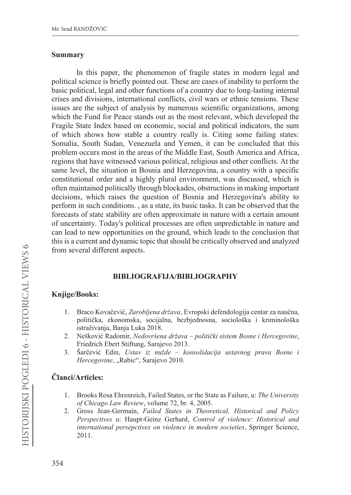### **Summary**

In this paper, the phenomenon of fragile states in modern legal and political science is briefly pointed out. These are cases of inability to perform the basic political, legal and other functions of a country due to long-lasting internal crises and divisions, international conflicts, civil wars or ethnic tensions. These issues are the subject of analysis by numerous scientific organizations, among which the Fund for Peace stands out as the most relevant, which developed the Fragile State Index based on economic, social and political indicators, the sum of which shows how stable a country really is. Citing some failing states: Somalia, South Sudan, Venezuela and Yemen, it can be concluded that this problem occurs most in the areas of the Middle East, South America and Africa. regions that have witnessed various political, religious and other conflicts. At the same level, the situation in Bosnia and Herzegovina, a country with a specific constitutional order and a highly plural environment, was discussed, which is often maintained politically through blockades, obstructions in making important decisions, which raises the question of Bosnia and Herzegovina's ability to perform in such conditions., as a state, its basic tasks. It can be observed that the forecasts of state stability are often approximate in nature with a certain amount of uncertainty. Today's political processes are often unpredictable in nature and can lead to new opportunities on the ground, which leads to the conclusion that this is a current and dynamic topic that should be critically observed and analyzed from several different aspects.

## **BIBLIOGRAFIJA/BIBLIOGRAPHY**

## Knjige/Books:

- Braco Kovačević, Zarobljena država, Evropski defendologija centar za naučna, 1. politička, ekonomska, socijalna, bezbjednosna, sociološka i kriminološka istraživanja, Banja Luka 2018.
- Nešković Radomir, Nedovršena država politički sistem Bosne i Hercegovine, 2. Friedrich Ebert Stiftung, Sarajevo 2013.
- Šarčević Edin, Ustav iz nužde konsolidacija ustavnog prava Bosne i  $3.$ Hercegovine, "Rabic", Sarajevo 2010.

## Članci/Articles:

- 1. Brooks Rosa Ehrenreich, Failed States, or the State as Failure, u: The University of Chicago Law Review, volume 72, br. 4, 2005.
- 2. Gross Jean-Germain, Failed States in Theoretical, Historical and Policy Perspectives u: Haupt-Geinz Gerhard, Control of violence: Historical and international persepctives on violence in modern societies, Springer Science, 2011.